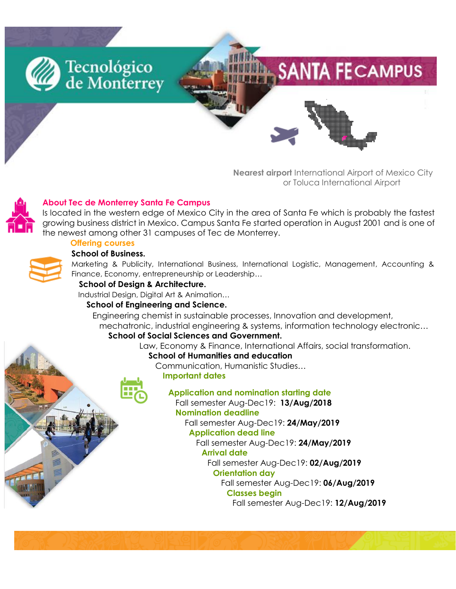

 **Nearest airport** International Airport of Mexico City or Toluca International Airport



# **About Tec de Monterrey Santa Fe Campus**

Is located in the western edge of Mexico City in the area of Santa Fe which is probably the fastest growing business district in Mexico. Campus Santa Fe started operation in August 2001 and is one of the newest among other 31 campuses of Tec de Monterrey.

# **Offering courses**

#### **School of Business.**

Marketing & Publicity, International Business, International Logistic, Management, Accounting & Finance, Economy, entrepreneurship or Leadership…

### **School of Design & Architecture.**

Industrial Design, Digital Art & Animation…

#### **School of Engineering and Science.**

 Engineering chemist in sustainable processes, Innovation and development, mechatronic, industrial engineering & systems, information technology electronic…

#### **School of Social Sciences and Government.**

Law, Economy & Finance, International Affairs, social transformation.

#### **School of Humanities and education**

Communication, Humanistic Studies…

#### **Important dates**

# **Application and nomination starting date**

 Fall semester Aug-Dec19: **13/Aug/2018 Nomination deadline**

Fall semester Aug-Dec19: **24/May/2019**

#### **Application dead line**

 Fall semester Aug-Dec19: **24/May/2019 Arrival date**

Fall semester Aug-Dec19: **02/Aug/2019**

# **Orientation day**

Fall semester Aug-Dec19: **06/Aug/2019**

# **Classes begin**

Fall semester Aug-Dec19: **12/Aug/2019**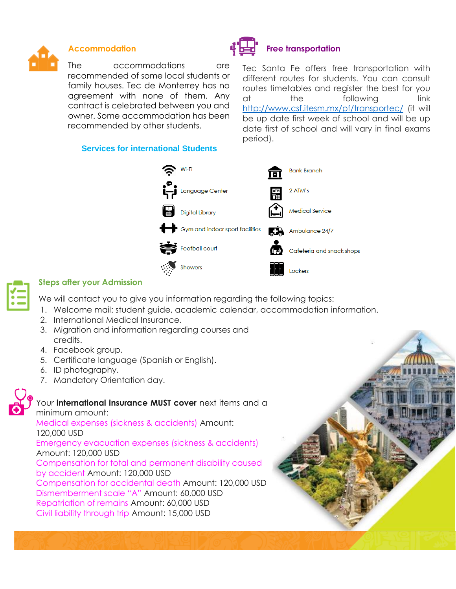

The accommodations are recommended of some local students or family houses. Tec de Monterrey has no agreement with none of them. Any contract is celebrated between you and owner. Some accommodation has been recommended by other students.

#### **Services for international Students**



Tec Santa Fe offers free transportation with different routes for students. You can consult routes timetables and register the best for you at the following link <http://www.csf.itesm.mx/pf/transportec/> (it will be up date first week of school and will be up date first of school and will vary in final exams period).





# **Steps after your Admission**

We will contact you to give you information regarding the following topics:

- 1. Welcome mail: student guide, academic calendar, accommodation information.
- 2. International Medical Insurance.
- 3. Migration and information regarding courses and credits.
- 4. Facebook group.
- 5. Certificate language (Spanish or English).
- 6. ID photography.
- 7. Mandatory Orientation day.



# Your **international insurance MUST cover** next items and a

minimum amount: Medical expenses (sickness & accidents) Amount: 120,000 USD Emergency evacuation expenses (sickness & accidents) Amount: 120,000 USD Compensation for total and permanent disability caused by accident Amount: 120,000 USD Compensation for accidental death Amount: 120,000 USD Dismemberment scale "A" Amount: 60,000 USD Repatriation of remains Amount: 60,000 USD Civil liability through trip Amount: 15,000 USD